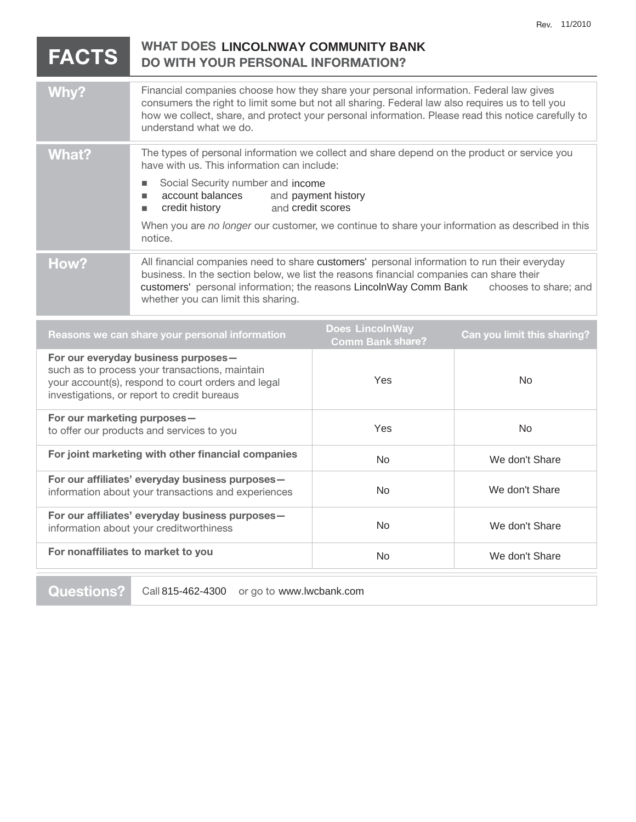No We don't Share

| WHAT DOES LINCOLNWAY COMMUNITY BANK<br><b>FACTS</b><br>DO WITH YOUR PERSONAL INFORMATION?                                                                                                  |                                                                                                                                                                                                                                                                                                                                                                                                             |                                                   |                             |
|--------------------------------------------------------------------------------------------------------------------------------------------------------------------------------------------|-------------------------------------------------------------------------------------------------------------------------------------------------------------------------------------------------------------------------------------------------------------------------------------------------------------------------------------------------------------------------------------------------------------|---------------------------------------------------|-----------------------------|
| <b>Why?</b>                                                                                                                                                                                | Financial companies choose how they share your personal information. Federal law gives<br>consumers the right to limit some but not all sharing. Federal law also requires us to tell you<br>how we collect, share, and protect your personal information. Please read this notice carefully to<br>understand what we do.                                                                                   |                                                   |                             |
| <b>What?</b>                                                                                                                                                                               | The types of personal information we collect and share depend on the product or service you<br>have with us. This information can include:<br>Social Security number and income<br>$\blacksquare$<br>account balances<br>and payment history<br>п<br>and credit scores<br>credit history<br>п<br>When you are no longer our customer, we continue to share your information as described in this<br>notice. |                                                   |                             |
| How?                                                                                                                                                                                       | All financial companies need to share customers' personal information to run their everyday<br>business. In the section below, we list the reasons financial companies can share their<br>customers' personal information; the reasons LincolnWay Comm Bank<br>chooses to share; and<br>whether you can limit this sharing.                                                                                 |                                                   |                             |
| Reasons we can share your personal information                                                                                                                                             |                                                                                                                                                                                                                                                                                                                                                                                                             | <b>Does LincolnWay</b><br><b>Comm Bank share?</b> | Can you limit this sharing? |
| For our everyday business purposes-<br>such as to process your transactions, maintain<br>your account(s), respond to court orders and legal<br>investigations, or report to credit bureaus |                                                                                                                                                                                                                                                                                                                                                                                                             | Yes                                               | <b>No</b>                   |
| For our marketing purposes-<br>to offer our products and services to you                                                                                                                   |                                                                                                                                                                                                                                                                                                                                                                                                             | Yes                                               | <b>No</b>                   |
| For joint marketing with other financial companies                                                                                                                                         |                                                                                                                                                                                                                                                                                                                                                                                                             | No.                                               | We don't Share              |
| For our affiliates' everyday business purposes-<br>information about your transactions and experiences                                                                                     |                                                                                                                                                                                                                                                                                                                                                                                                             | <b>No</b>                                         | We don't Share              |
| For our affiliates' everyday business purposes-<br>information about your creditworthiness                                                                                                 |                                                                                                                                                                                                                                                                                                                                                                                                             | <b>No</b>                                         | We don't Share              |
|                                                                                                                                                                                            |                                                                                                                                                                                                                                                                                                                                                                                                             |                                                   |                             |

**For nonaffiliates to market to you** 

**Questions?** Call 815-462-4300 or go to www.lwcbank.com